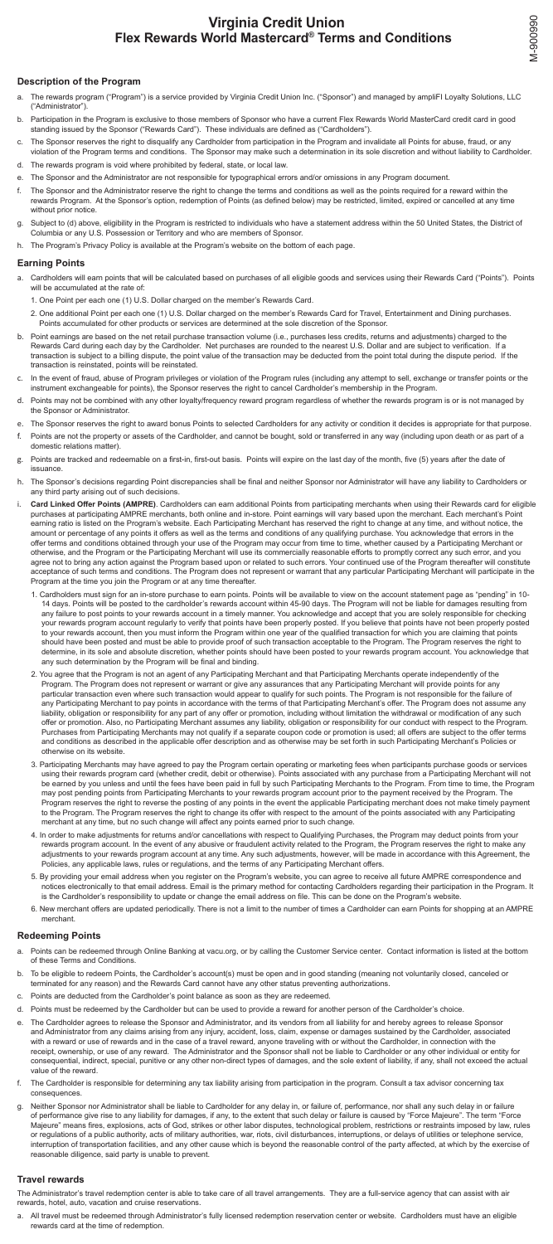# **Virginia Credit Union Flex Rewards World Mastercard® Terms and Conditions**

## **Description of the Program**

- a. The rewards program ("Program") is a service provided by Virginia Credit Union Inc. ("Sponsor") and managed by ampliFI Loyalty Solutions, LLC ("Administrator").
- b. Participation in the Program is exclusive to those members of Sponsor who have a current Flex Rewards World MasterCard credit card in good standing issued by the Sponsor ("Rewards Card"). These individuals are defined as ("Cardholders").
- c. The Sponsor reserves the right to disqualify any Cardholder from participation in the Program and invalidate all Points for abuse, fraud, or any violation of the Program terms and conditions. The Sponsor may make such a determination in its sole discretion and without liability to Cardholder.
- d. The rewards program is void where prohibited by federal, state, or local law.
- e. The Sponsor and the Administrator are not responsible for typographical errors and/or omissions in any Program document.
- f. The Sponsor and the Administrator reserve the right to change the terms and conditions as well as the points required for a reward within the rewards Program. At the Sponsor's option, redemption of Points (as defined below) may be restricted, limited, expired or cancelled at any time without prior notice.
- Subject to (d) above, eligibility in the Program is restricted to individuals who have a statement address within the 50 United States, the District of Columbia or any U.S. Possession or Territory and who are members of Sponsor.
- h. The Program's Privacy Policy is available at the Program's website on the bottom of each page.

## **Earning Points**

- a. Cardholders will earn points that will be calculated based on purchases of all eligible goods and services using their Rewards Card ("Points"). Points will be accumulated at the rate of:
	- 1. One Point per each one (1) U.S. Dollar charged on the member's Rewards Card.
	- 2. One additional Point per each one (1) U.S. Dollar charged on the member's Rewards Card for Travel, Entertainment and Dining purchases. Points accumulated for other products or services are determined at the sole discretion of the Sponsor.
- b. Point earnings are based on the net retail purchase transaction volume (i.e., purchases less credits, returns and adjustments) charged to the Rewards Card during each day by the Cardholder. Net purchases are rounded to the nearest U.S. Dollar and are subject to verification. If a transaction is subject to a billing dispute, the point value of the transaction may be deducted from the point total during the dispute period. If the transaction is reinstated, points will be reinstated.
- c. In the event of fraud, abuse of Program privileges or violation of the Program rules (including any attempt to sell, exchange or transfer points or the instrument exchangeable for points), the Sponsor reserves the right to cancel Cardholder's membership in the Program.
- d. Points may not be combined with any other loyalty/frequency reward program regardless of whether the rewards program is or is not managed by the Sponsor or Administrator.
- e. The Sponsor reserves the right to award bonus Points to selected Cardholders for any activity or condition it decides is appropriate for that purpose.
- f. Points are not the property or assets of the Cardholder, and cannot be bought, sold or transferred in any way (including upon death or as part of a domestic relations matter).
- g. Points are tracked and redeemable on a first-in, first-out basis. Points will expire on the last day of the month, five (5) years after the date of issuance.
- h. The Sponsor's decisions regarding Point discrepancies shall be final and neither Sponsor nor Administrator will have any liability to Cardholders or any third party arising out of such decisions.
- i. **Card Linked Offer Points (AMPRE)**. Cardholders can earn additional Points from participating merchants when using their Rewards card for eligible purchases at participating AMPRE merchants, both online and in-store. Point earnings will vary based upon the merchant. Each merchant's Point earning ratio is listed on the Program's website. Each Participating Merchant has reserved the right to change at any time, and without notice, the amount or percentage of any points it offers as well as the terms and conditions of any qualifying purchase. You acknowledge that errors in the offer terms and conditions obtained through your use of the Program may occur from time to time, whether caused by a Participating Merchant or otherwise, and the Program or the Participating Merchant will use its commercially reasonable efforts to promptly correct any such error, and you agree not to bring any action against the Program based upon or related to such errors. Your continued use of the Program thereafter will constitute acceptance of such terms and conditions. The Program does not represent or warrant that any particular Participating Merchant will participate in the Program at the time you join the Program or at any time thereafter.
	- 1. Cardholders must sign for an in-store purchase to earn points. Points will be available to view on the account statement page as "pending" in 10- 14 days. Points will be posted to the cardholder's rewards account within 45-90 days. The Program will not be liable for damages resulting from any failure to post points to your rewards account in a timely manner. You acknowledge and accept that you are solely responsible for checking your rewards program account regularly to verify that points have been properly posted. If you believe that points have not been properly posted to your rewards account, then you must inform the Program within one year of the qualified transaction for which you are claiming that points should have been posted and must be able to provide proof of such transaction acceptable to the Program. The Program reserves the right to determine, in its sole and absolute discretion, whether points should have been posted to your rewards program account. You acknowledge that any such determination by the Program will be final and binding.
	- 2. You agree that the Program is not an agent of any Participating Merchant and that Participating Merchants operate independently of the Program. The Program does not represent or warrant or give any assurances that any Participating Merchant will provide points for any particular transaction even where such transaction would appear to qualify for such points. The Program is not responsible for the failure of any Participating Merchant to pay points in accordance with the terms of that Participating Merchant's offer. The Program does not assume any liability, obligation or responsibility for any part of any offer or promotion, including without limitation the withdrawal or modification of any such offer or promotion. Also, no Participating Merchant assumes any liability, obligation or responsibility for our conduct with respect to the Program. Purchases from Participating Merchants may not qualify if a separate coupon code or promotion is used; all offers are subject to the offer terms and conditions as described in the applicable offer description and as otherwise may be set forth in such Participating Merchant's Policies or otherwise on its website.
	- 3. Participating Merchants may have agreed to pay the Program certain operating or marketing fees when participants purchase goods or services using their rewards program card (whether credit, debit or otherwise). Points associated with any purchase from a Participating Merchant will not be earned by you unless and until the fees have been paid in full by such Participating Merchants to the Program. From time to time, the Program may post pending points from Participating Merchants to your rewards program account prior to the payment received by the Program. The Program reserves the right to reverse the posting of any points in the event the applicable Participating merchant does not make timely payment to the Program. The Program reserves the right to change its offer with respect to the amount of the points associated with any Participating merchant at any time, but no such change will affect any points earned prior to such change.
	- 4. In order to make adjustments for returns and/or cancellations with respect to Qualifying Purchases, the Program may deduct points from your rewards program account. In the event of any abusive or fraudulent activity related to the Program, the Program reserves the right to make any adjustments to your rewards program account at any time. Any such adjustments, however, will be made in accordance with this Agreement, the
		- Policies, any applicable laws, rules or regulations, and the terms of any Participating Merchant offers.
	- 5. By providing your email address when you register on the Program's website, you can agree to receive all future AMPRE correspondence and notices electronically to that email address. Email is the primary method for contacting Cardholders regarding their participation in the Program. It is the Cardholder's responsibility to update or change the email address on file. This can be done on the Program's website.
	- 6. New merchant offers are updated periodically. There is not a limit to the number of times a Cardholder can earn Points for shopping at an AMPRE merchant.

#### **Redeeming Points**

- a. Points can be redeemed through Online Banking at vacu.org, or by calling the Customer Service center. Contact information is listed at the bottom of these Terms and Conditions.
- b. To be eligible to redeem Points, the Cardholder's account(s) must be open and in good standing (meaning not voluntarily closed, canceled or terminated for any reason) and the Rewards Card cannot have any other status preventing authorizations.
- c. Points are deducted from the Cardholder's point balance as soon as they are redeemed.
- d. Points must be redeemed by the Cardholder but can be used to provide a reward for another person of the Cardholder's choice.
- e. The Cardholder agrees to release the Sponsor and Administrator, and its vendors from all liability for and hereby agrees to release Sponsor and Administrator from any claims arising from any injury, accident, loss, claim, expense or damages sustained by the Cardholder, associated with a reward or use of rewards and in the case of a travel reward, anyone traveling with or without the Cardholder, in connection with the receipt, ownership, or use of any reward. The Administrator and the Sponsor shall not be liable to Cardholder or any other individual or entity for consequential, indirect, special, punitive or any other non-direct types of damages, and the sole extent of liability, if any, shall not exceed the actual value of the reward.
- f. The Cardholder is responsible for determining any tax liability arising from participation in the program. Consult a tax advisor concerning tax consequences.
- g. Neither Sponsor nor Administrator shall be liable to Cardholder for any delay in, or failure of, performance, nor shall any such delay in or failure of performance give rise to any liability for damages, if any, to the extent that such delay or failure is caused by "Force Majeure". The term "Force Majeure" means fires, explosions, acts of God, strikes or other labor disputes, technological problem, restrictions or restraints imposed by law, rules or regulations of a public authority, acts of military authorities, war, riots, civil disturbances, interruptions, or delays of utilities or telephone service, interruption of transportation facilities, and any other cause which is beyond the reasonable control of the party affected, at which by the exercise of reasonable diligence, said party is unable to prevent.

#### **Travel rewards**

The Administrator's travel redemption center is able to take care of all travel arrangements. They are a full-service agency that can assist with air rewards, hotel, auto, vacation and cruise reservations.

a. All travel must be redeemed through Administrator's fully licensed redemption reservation center or website. Cardholders must have an eligible rewards card at the time of redemption.